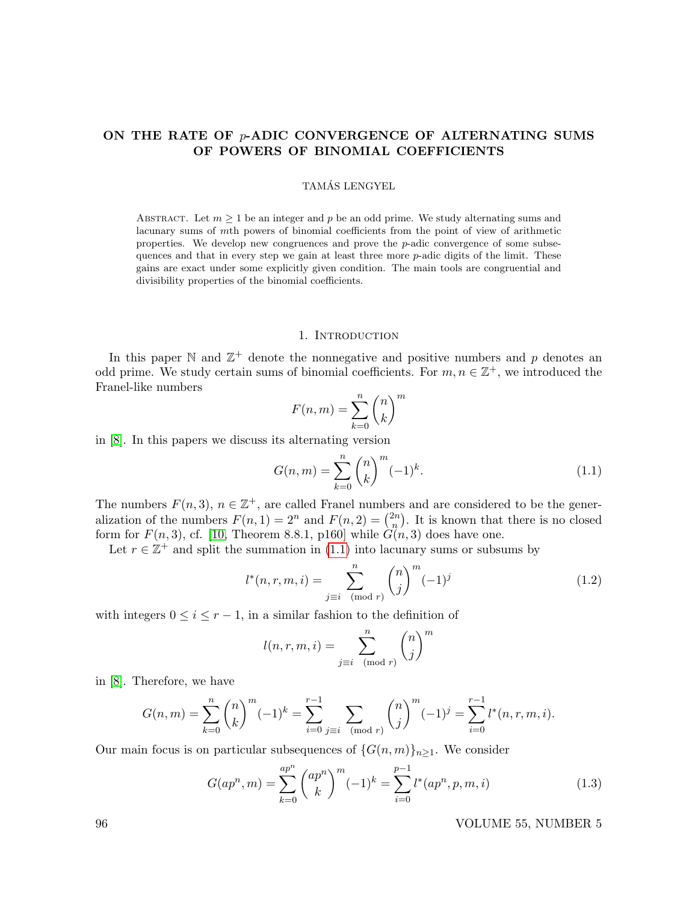# ON THE RATE OF  $p$ -ADIC CONVERGENCE OF ALTERNATING SUMS OF POWERS OF BINOMIAL COEFFICIENTS

## TAMAS LENGYEL ´

ABSTRACT. Let  $m \geq 1$  be an integer and p be an odd prime. We study alternating sums and lacunary sums of mth powers of binomial coefficients from the point of view of arithmetic properties. We develop new congruences and prove the  $p$ -adic convergence of some subsequences and that in every step we gain at least three more p-adic digits of the limit. These gains are exact under some explicitly given condition. The main tools are congruential and divisibility properties of the binomial coefficients.

# 1. INTRODUCTION

In this paper N and  $\mathbb{Z}^+$  denote the nonnegative and positive numbers and p denotes an odd prime. We study certain sums of binomial coefficients. For  $m, n \in \mathbb{Z}^+$ , we introduced the Franel-like numbers

$$
F(n,m) = \sum_{k=0}^{n} \binom{n}{k}^{m}
$$

in [\[8\]](#page-8-0). In this papers we discuss its alternating version

<span id="page-0-0"></span>
$$
G(n,m) = \sum_{k=0}^{n} {n \choose k}^{m} (-1)^{k}.
$$
 (1.1)

The numbers  $F(n, 3)$ ,  $n \in \mathbb{Z}^+$ , are called Franel numbers and are considered to be the generalization of the numbers  $F(n, 1) = 2^n$  and  $F(n, 2) = \binom{2n}{n}$  $\binom{2n}{n}$ . It is known that there is no closed form for  $F(n, 3)$ , cf. [\[10,](#page-8-1) Theorem 8.8.1, p160] while  $G(n, 3)$  does have one.

Let  $r \in \mathbb{Z}^+$  and split the summation in [\(1.1\)](#page-0-0) into lacunary sums or subsums by

$$
l^*(n, r, m, i) = \sum_{j \equiv i \pmod{r}}^n {n \choose j}^m (-1)^j
$$
(1.2)

with integers  $0 \leq i \leq r-1$ , in a similar fashion to the definition of

$$
l(n,r,m,i) = \sum_{j \equiv i \pmod{r}}^{n} {n \choose j}^{m}
$$

in [\[8\]](#page-8-0). Therefore, we have

$$
G(n,m) = \sum_{k=0}^{n} {n \choose k}^{m} (-1)^{k} = \sum_{i=0}^{r-1} \sum_{j \equiv i \pmod{r}} {n \choose j}^{m} (-1)^{j} = \sum_{i=0}^{r-1} l^{*}(n,r,m,i).
$$

Our main focus is on particular subsequences of  $\{G(n, m)\}_{n>1}$ . We consider

$$
G(ap^n, m) = \sum_{k=0}^{ap^n} \binom{ap^n}{k}^m (-1)^k = \sum_{i=0}^{p-1} l^*(ap^n, p, m, i)
$$
\n(1.3)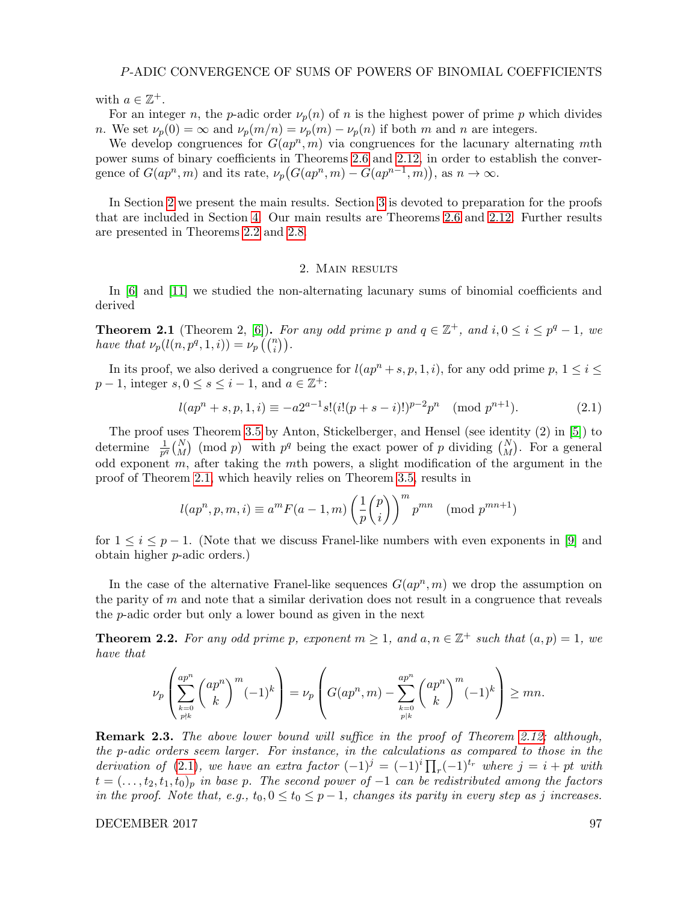#### P-ADIC CONVERGENCE OF SUMS OF POWERS OF BINOMIAL COEFFICIENTS

with  $a \in \mathbb{Z}^+$ .

For an integer n, the p-adic order  $\nu_p(n)$  of n is the highest power of prime p which divides n. We set  $\nu_p(0) = \infty$  and  $\nu_p(m/n) = \nu_p(m) - \nu_p(n)$  if both m and n are integers.

We develop congruences for  $G(ap^n, m)$  via congruences for the lacunary alternating mth power sums of binary coefficients in Theorems [2.6](#page-2-0) and [2.12,](#page-3-0) in order to establish the convergence of  $G(ap^n, m)$  and its rate,  $\nu_p(G(ap^n, m) - G(ap^{n-1}, m)$ , as  $n \to \infty$ .

In Section [2](#page-1-0) we present the main results. Section [3](#page-4-0) is devoted to preparation for the proofs that are included in Section [4.](#page-5-0) Our main results are Theorems [2.6](#page-2-0) and [2.12.](#page-3-0) Further results are presented in Theorems [2.2](#page-1-1) and [2.8.](#page-3-1)

# 2. Main results

<span id="page-1-0"></span>In [\[6\]](#page-8-2) and [\[11\]](#page-8-3) we studied the non-alternating lacunary sums of binomial coefficients and derived

<span id="page-1-2"></span>**Theorem 2.1** (Theorem 2, [\[6\]](#page-8-2)). For any odd prime p and  $q \in \mathbb{Z}^+$ , and  $i, 0 \le i \le p^q - 1$ , we have that  $\nu_p(l(n, p^q, 1, i)) = \nu_p\left(\binom{n}{i}\right)$ .

In its proof, we also derived a congruence for  $l(ap^n + s, p, 1, i)$ , for any odd prime  $p, 1 \le i \le j$  $p-1$ , integer  $s, 0 \le s \le i-1$ , and  $a \in \mathbb{Z}^+$ :

<span id="page-1-3"></span>
$$
l(ap^n + s, p, 1, i) \equiv -a2^{a-1}s!(i!(p+s-i)!)^{p-2}p^n \pmod{p^{n+1}}.
$$
 (2.1)

The proof uses Theorem [3.5](#page-5-1) by Anton, Stickelberger, and Hensel (see identity (2) in [\[5\]](#page-8-4)) to determine  $\frac{1}{p^q} {N \choose M}$  (mod p) with  $p^q$  being the exact power of p dividing  $N \choose M$ . For a general odd exponent  $m$ , after taking the  $m$ th powers, a slight modification of the argument in the proof of Theorem [2.1,](#page-1-2) which heavily relies on Theorem [3.5,](#page-5-1) results in

$$
l(ap^n, p, m, i) \equiv a^m F(a-1, m) \left(\frac{1}{p} {p \choose i}\right)^m p^{mn} \pmod{p^{mn+1}}
$$

for  $1 \leq i \leq p-1$ . (Note that we discuss Franel-like numbers with even exponents in [\[9\]](#page-8-5) and obtain higher p-adic orders.)

In the case of the alternative Franel-like sequences  $G(ap^n, m)$  we drop the assumption on the parity of  $m$  and note that a similar derivation does not result in a congruence that reveals the p-adic order but only a lower bound as given in the next

<span id="page-1-1"></span>**Theorem 2.2.** For any odd prime p, exponent  $m \geq 1$ , and  $a, n \in \mathbb{Z}^+$  such that  $(a, p) = 1$ , we have that

$$
\nu_p\left(\sum_{\substack{k=0\\p\nmid k}}^{ap^n}\binom{ap^n}{k}^m(-1)^k\right)=\nu_p\left(G(ap^n,m)-\sum_{\substack{k=0\\p\nmid k}}^{ap^n}\binom{ap^n}{k}^m(-1)^k\right)\geq mn.
$$

**Remark 2.3.** The above lower bound will suffice in the proof of Theorem [2.12;](#page-3-0) although, the p-adic orders seem larger. For instance, in the calculations as compared to those in the derivation of [\(2.1\)](#page-1-3), we have an extra factor  $(-1)^j = (-1)^i \prod_r (-1)^{t_r}$  where  $j = i + pt$  with  $t = (..., t<sub>2</sub>, t<sub>1</sub>, t<sub>0</sub>)<sub>p</sub>$  in base p. The second power of  $-1$  can be redistributed among the factors in the proof. Note that, e.g.,  $t_0$ ,  $0 \le t_0 \le p-1$ , changes its parity in every step as j increases.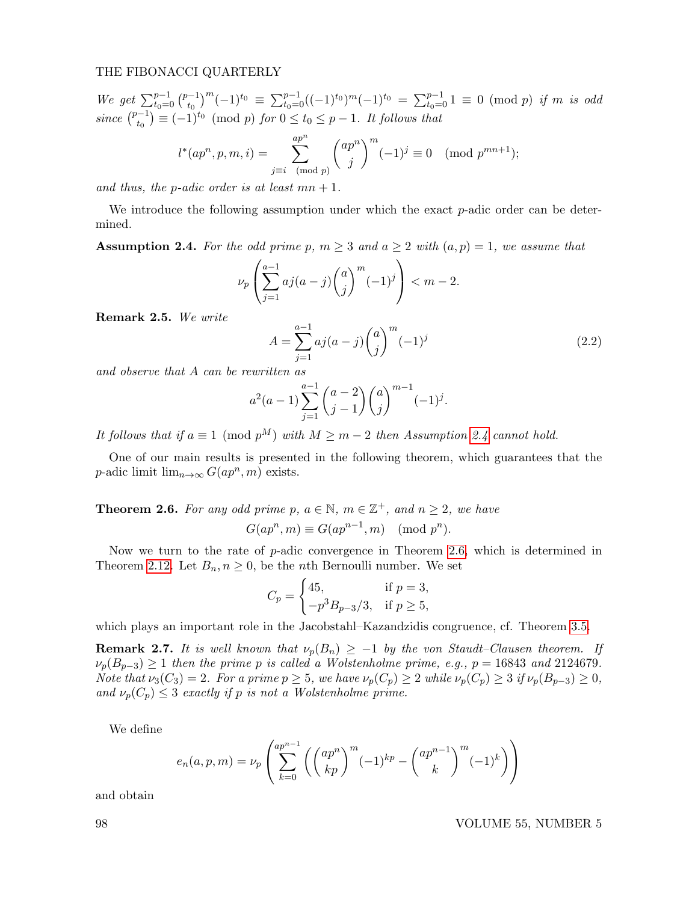We get  $\sum_{t_0=0}^{p-1} \binom{p-1}{t_0}$  $(t_0^{-1})^m(-1)^{t_0} \equiv \sum_{t_0=0}^{p-1}((-1)^{t_0})^m(-1)^{t_0} = \sum_{t_0=0}^{p-1} 1 \equiv 0 \pmod{p}$  if m is odd since  $\binom{p-1}{t_0}$  $(t_0^{-1}) \equiv (-1)^{t_0} \pmod{p}$  for  $0 \le t_0 \le p-1$ . It follows that

$$
l^*(ap^n, p, m, i) = \sum_{j \equiv i \pmod{p}}^{ap^n} {ap^n \choose j}^m (-1)^j \equiv 0 \pmod{p^{mn+1}};
$$

and thus, the p-adic order is at least  $mn + 1$ .

We introduce the following assumption under which the exact p-adic order can be determined.

<span id="page-2-1"></span>**Assumption 2.4.** For the odd prime p,  $m \geq 3$  and  $a \geq 2$  with  $(a, p) = 1$ , we assume that

$$
\nu_p \left( \sum_{j=1}^{a-1} a j (a-j) {a \choose j}^m (-1)^j \right) < m-2.
$$

Remark 2.5. We write

<span id="page-2-3"></span>
$$
A = \sum_{j=1}^{a-1} aj(a-j) \binom{a}{j}^m (-1)^j
$$
\n(2.2)

and observe that A can be rewritten as

$$
a^{2}(a-1)\sum_{j=1}^{a-1}\binom{a-2}{j-1}\binom{a}{j}^{m-1}(-1)^{j}.
$$

It follows that if  $a \equiv 1 \pmod{p^M}$  with  $M \geq m-2$  then Assumption [2.4](#page-2-1) cannot hold.

One of our main results is presented in the following theorem, which guarantees that the p-adic limit  $\lim_{n\to\infty} G(ap^n, m)$  exists.

<span id="page-2-0"></span>**Theorem 2.6.** For any odd prime p,  $a \in \mathbb{N}$ ,  $m \in \mathbb{Z}^+$ , and  $n \geq 2$ , we have  $G(ap^n, m) \equiv G(ap^{n-1}, m) \pmod{p^n}.$ 

Now we turn to the rate of p-adic convergence in Theorem [2.6,](#page-2-0) which is determined in Theorem [2.12.](#page-3-0) Let  $B_n, n \geq 0$ , be the *n*th Bernoulli number. We set

$$
C_p = \begin{cases} 45, & \text{if } p = 3, \\ -p^3 B_{p-3}/3, & \text{if } p \ge 5, \end{cases}
$$

which plays an important role in the Jacobstahl–Kazandzidis congruence, cf. Theorem [3.5.](#page-5-1)

<span id="page-2-2"></span>**Remark 2.7.** It is well known that  $\nu_p(B_n) \geq -1$  by the von Staudt–Clausen theorem. If  $\nu_p(B_{p-3}) \ge 1$  then the prime p is called a Wolstenholme prime, e.g.,  $p = 16843$  and 2124679. Note that  $\nu_3(C_3) = 2$ . For a prime  $p \geq 5$ , we have  $\nu_p(C_p) \geq 2$  while  $\nu_p(C_p) \geq 3$  if  $\nu_p(B_{p-3}) \geq 0$ , and  $\nu_p(C_p) \leq 3$  exactly if p is not a Wolstenholme prime.

We define

$$
e_n(a, p, m) = \nu_p \left( \sum_{k=0}^{ap^{n-1}} \left( \binom{ap^n}{kp}^m (-1)^{kp} - \binom{ap^{n-1}}{k}^m (-1)^k \right) \right)
$$

and obtain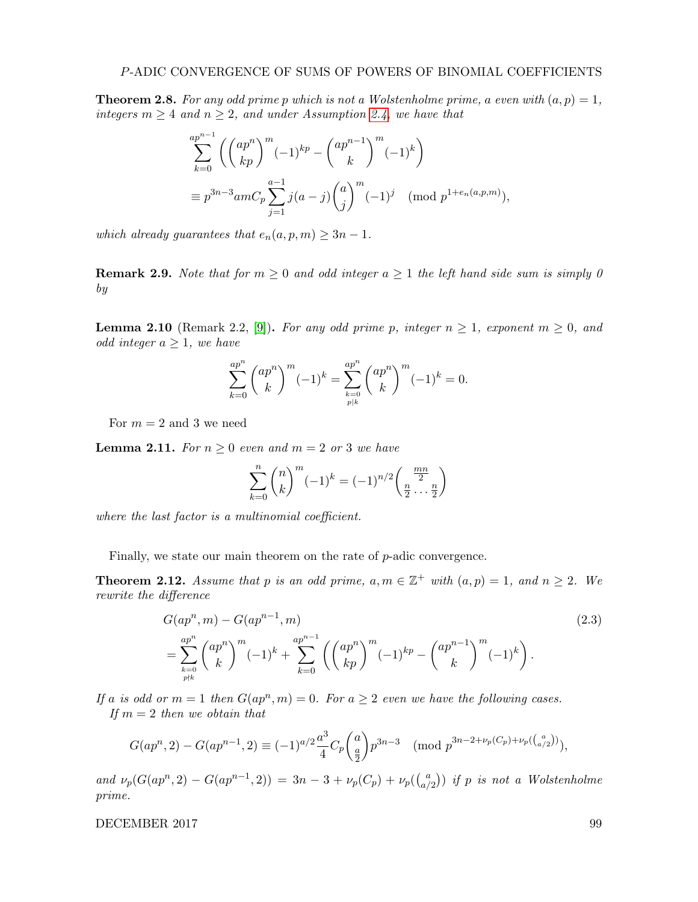<span id="page-3-1"></span>**Theorem 2.8.** For any odd prime p which is not a Wolstenholme prime, a even with  $(a, p) = 1$ , integers  $m \geq 4$  and  $n \geq 2$ , and under Assumption [2.4,](#page-2-1) we have that

$$
\sum_{k=0}^{ap^{n-1}} \left( \binom{ap^n}{kp}^m (-1)^{kp} - \binom{ap^{n-1}}{k}^m (-1)^k \right)
$$
  
\n
$$
\equiv p^{3n-3} a m C_p \sum_{j=1}^{a-1} j(a-j) \binom{a}{j}^m (-1)^j \pmod{p^{1+e_n(a,p,m)}},
$$

which already guarantees that  $e_n(a, p, m) \geq 3n - 1$ .

**Remark 2.9.** Note that for  $m \geq 0$  and odd integer  $a \geq 1$  the left hand side sum is simply 0 by

**Lemma 2.10** (Remark 2.2, [\[9\]](#page-8-5)). For any odd prime p, integer  $n \geq 1$ , exponent  $m \geq 0$ , and *odd integer*  $a \geq 1$ *, we have* 

$$
\sum_{k=0}^{ap^n} \binom{ap^n}{k}^m (-1)^k = \sum_{\substack{k=0 \ p|k}}^{ap^n} \binom{ap^n}{k}^m (-1)^k = 0.
$$

For  $m = 2$  and 3 we need

<span id="page-3-3"></span>**Lemma 2.11.** For  $n \geq 0$  even and  $m = 2$  or 3 we have

<span id="page-3-2"></span>
$$
\sum_{k=0}^{n} \binom{n}{k}^{m} (-1)^{k} = (-1)^{n/2} \binom{\frac{mn}{2}}{\frac{n}{2} \cdots \frac{n}{2}}
$$

where the last factor is a multinomial coefficient.

Finally, we state our main theorem on the rate of  $p$ -adic convergence.

<span id="page-3-0"></span>**Theorem 2.12.** Assume that p is an odd prime,  $a, m \in \mathbb{Z}^+$  with  $(a, p) = 1$ , and  $n \ge 2$ . We rewrite the difference

$$
G(ap^n, m) - G(ap^{n-1}, m)
$$
  
= 
$$
\sum_{k=0}^{ap^n} {ap^n \choose k}^m (-1)^k + \sum_{k=0}^{ap^{n-1}} \left( {ap^n \choose kp}^m (-1)^{kp} - {ap^{n-1} \choose k}^m (-1)^k \right).
$$
 (2.3)

If a is odd or  $m = 1$  then  $G(ap^n, m) = 0$ . For  $a \geq 2$  even we have the following cases. If  $m = 2$  then we obtain that

$$
G(ap^n, 2) - G(ap^{n-1}, 2) \equiv (-1)^{a/2} \frac{a^3}{4} C_p {a \choose \frac{a}{2}} p^{3n-3} \pmod{p^{3n-2+\nu_p(C_p)+\nu_p({a \choose a/2})}},
$$

and  $\nu_p(G(ap^n, 2) - G(ap^{n-1}, 2)) = 3n - 3 + \nu_p(C_p) + \nu_p(\binom{a}{p}$  $\binom{a}{a/2}$ ) if p is not a Wolstenholme prime.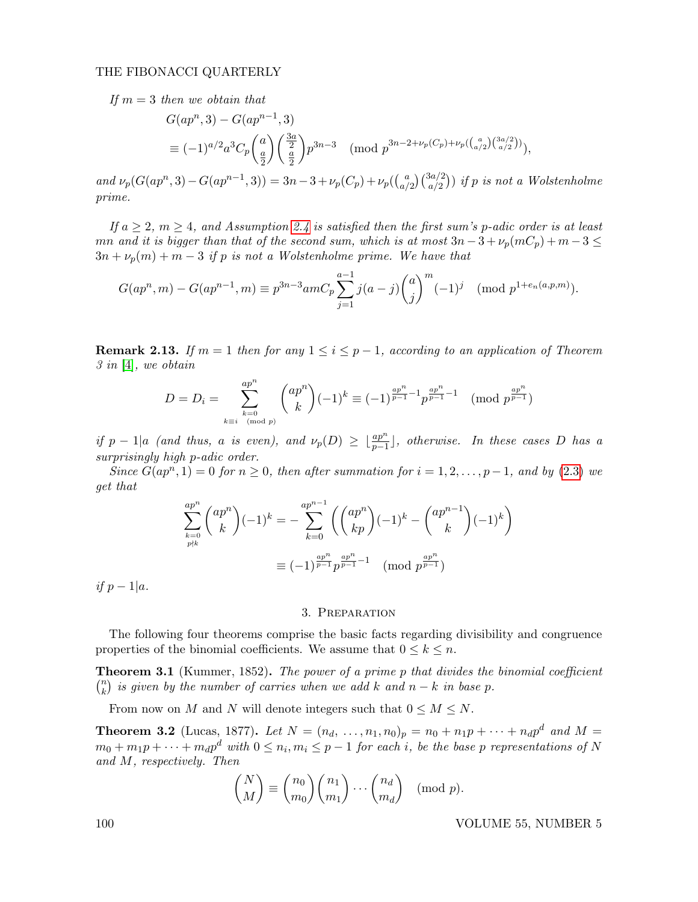If  $m = 3$  then we obtain that

$$
G(ap^n,3) - G(ap^{n-1},3)
$$
  
\n
$$
\equiv (-1)^{a/2}a^3C_p\binom{a}{\frac{a}{2}}\binom{\frac{3a}{2}}{\frac{a}{2}}p^{3n-3} \pmod{p^{3n-2+\nu_p(C_p)+\nu_p(\binom{a}{a/2})\binom{3a/2}{a/2})}},
$$

and  $\nu_p(G(ap^n,3) - G(ap^{n-1},3)) = 3n-3 + \nu_p(C_p) + \nu_p(\binom{a}{a}$  $\binom{a}{a/2}\binom{3a/2}{a/2}$  if p is not a Wolstenholme prime.

If  $a \geq 2$ ,  $m \geq 4$ , and Assumption [2.4](#page-2-1) is satisfied then the first sum's p-adic order is at least mn and it is bigger than that of the second sum, which is at most  $3n-3+\nu_p(mC_p)+m-3\leq$  $3n + \nu_p(m) + m - 3$  if p is not a Wolstenholme prime. We have that

$$
G(ap^n, m) - G(ap^{n-1}, m) \equiv p^{3n-3}amC_p \sum_{j=1}^{a-1} j(a-j) {a \choose j}^m (-1)^j \pmod{p^{1+e_n(a,p,m)}}.
$$

**Remark 2.13.** If  $m = 1$  then for any  $1 \leq i \leq p-1$ , according to an application of Theorem 3 in [\[4\]](#page-8-6), we obtain

$$
D = D_i = \sum_{\substack{k=0 \ k \equiv i \pmod{p}}}^{\frac{ap^n}{k}} {\binom{ap^n}{k}} (-1)^k \equiv (-1)^{\frac{ap^n}{p-1} - 1} p^{\frac{ap^n}{p-1} - 1} \pmod{p^{\frac{ap^n}{p-1}}}
$$

if  $p-1$ |a (and thus, a is even), and  $\nu_p(D) \geq \lfloor \frac{ap^n}{p-1} \rfloor$ , otherwise. In these cases D has a surprisingly high p-adic order.

Since  $G(ap^n, 1) = 0$  for  $n \ge 0$ , then after summation for  $i = 1, 2, ..., p-1$ , and by [\(2.3\)](#page-3-2) we get that

$$
\sum_{k=0}^{ap^n} \binom{ap^n}{k} (-1)^k = -\sum_{k=0}^{ap^{n-1}} \left( \binom{ap^n}{kp} (-1)^k - \binom{ap^{n-1}}{k} (-1)^k \right)
$$

$$
\equiv (-1)^{\frac{ap^n}{p-1}} p^{\frac{ap^n}{p-1} - 1} \pmod{p^{\frac{ap^n}{p-1}}}
$$

<span id="page-4-0"></span>if  $p-1|a$ .

#### 3. Preparation

The following four theorems comprise the basic facts regarding divisibility and congruence properties of the binomial coefficients. We assume that  $0 \leq k \leq n$ .

**Theorem 3.1** (Kummer, 1852). The power of a prime p that divides the binomial coefficient  $\binom{n}{k}$  $\binom{n}{k}$  is given by the number of carries when we add k and  $n-k$  in base  $p$ .

From now on M and N will denote integers such that  $0 \leq M \leq N$ .

**Theorem 3.2** (Lucas, 1877). Let  $N = (n_d, ..., n_1, n_0)_p = n_0 + n_1p + ... + n_d p^d$  and  $M =$  $m_0 + m_1 p + \cdots + m_d p^d$  with  $0 \leq n_i, m_i \leq p-1$  for each i, be the base p representations of N and M, respectively. Then

$$
\binom{N}{M} \equiv \binom{n_0}{m_0} \binom{n_1}{m_1} \cdots \binom{n_d}{m_d} \pmod{p}.
$$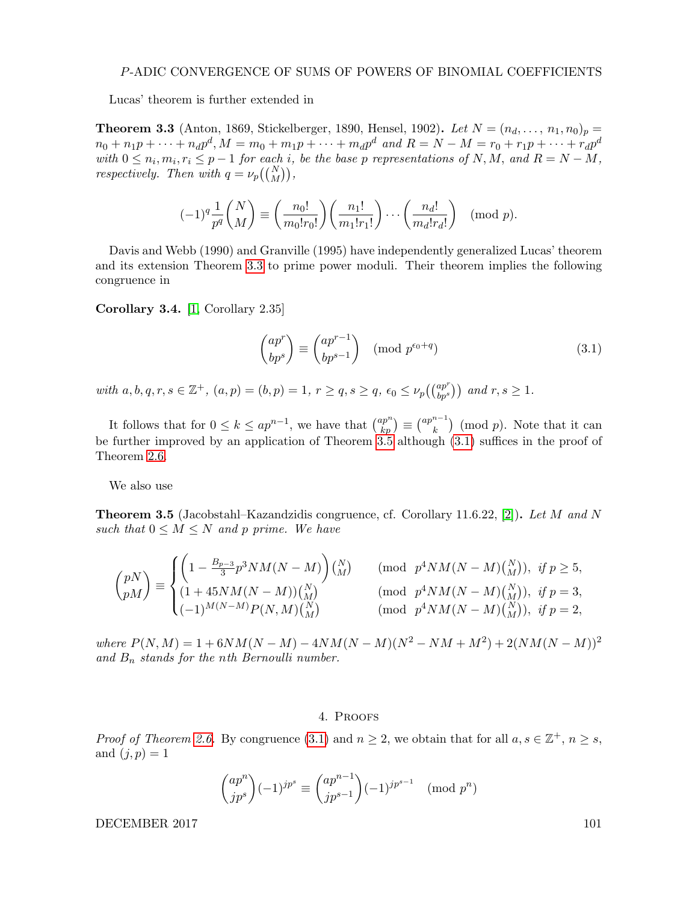#### P-ADIC CONVERGENCE OF SUMS OF POWERS OF BINOMIAL COEFFICIENTS

Lucas' theorem is further extended in

<span id="page-5-2"></span>**Theorem 3.3** (Anton, 1869, Stickelberger, 1890, Hensel, 1902). Let  $N = (n_d, ..., n_1, n_0)_p =$  $n_0 + n_1 p + \dots + n_d p^d, M = m_0 + m_1 p + \dots + m_d p^d$  and  $R = N - M = r_0 + r_1 p + \dots + r_d p^d$ with  $0 \leq n_i, m_i, r_i \leq p-1$  for each i, be the base p representations of N, M, and  $R = N - M$ , respectively. Then with  $q = \nu_p({N \choose M}),$ 

$$
(-1)^q \frac{1}{p^q} {N \choose M} \equiv \left(\frac{n_0!}{m_0! r_0!}\right) \left(\frac{n_1!}{m_1! r_1!}\right) \cdots \left(\frac{n_d!}{m_d! r_d!}\right) \pmod{p}.
$$

Davis and Webb (1990) and Granville (1995) have independently generalized Lucas' theorem and its extension Theorem [3.3](#page-5-2) to prime power moduli. Their theorem implies the following congruence in

Corollary 3.4. [\[1,](#page-8-7) Corollary 2.35]

<span id="page-5-3"></span>
$$
\begin{pmatrix} ap^r \ bp^s \end{pmatrix} \equiv \begin{pmatrix} ap^{r-1} \ bp^{s-1} \end{pmatrix} \pmod{p^{\epsilon_0+q}}
$$
\n(3.1)

with  $a, b, q, r, s \in \mathbb{Z}^+$ ,  $(a, p) = (b, p) = 1$ ,  $r \ge q$ ,  $s \ge q$ ,  $\epsilon_0 \le \nu_p(\binom{ap^r}{bp^s})$  and  $r, s \ge 1$ .

It follows that for  $0 \leq k \leq ap^{n-1}$ , we have that  $\binom{ap^n}{kp} \equiv \binom{ap^{n-1}}{k}$  $\binom{n-1}{k}$  (mod p). Note that it can be further improved by an application of Theorem [3.5](#page-5-1) although [\(3.1\)](#page-5-3) suffices in the proof of Theorem [2.6.](#page-2-0)

We also use

<span id="page-5-1"></span>**Theorem 3.5** (Jacobstahl–Kazandzidis congruence, cf. Corollary 11.6.22, [\[2\]](#page-8-8)). Let M and N such that  $0 \leq M \leq N$  and p prime. We have

$$
\binom{pN}{pM} \equiv \begin{cases} \left(1 - \frac{B_{p-3}}{3} p^3 N M (N-M)\right) {N \choose M} & (\text{mod } p^4 N M (N-M) {N \choose M}), & \text{if } p \ge 5, \\ (1 + 45 N M (N-M)) {N \choose M} & (\text{mod } p^4 N M (N-M) {N \choose M}), & \text{if } p = 3, \\ (-1)^{M(N-M)} P(N,M) {N \choose M} & (\text{mod } p^4 N M (N-M) {N \choose M}), & \text{if } p = 2, \end{cases}
$$

where  $P(N, M) = 1 + 6NM(N - M) - 4NM(N - M)(N^2 - NM + M^2) + 2(NM(N - M))^2$ and  $B_n$  stands for the nth Bernoulli number.

#### 4. Proofs

<span id="page-5-0"></span>*Proof of Theorem [2.6.](#page-2-0)* By congruence [\(3.1\)](#page-5-3) and  $n \ge 2$ , we obtain that for all  $a, s \in \mathbb{Z}^+, n \ge s$ , and  $(j, p) = 1$ 

$$
\binom{ap^n}{jp^s}(-1)^{jp^s} \equiv \binom{ap^{n-1}}{jp^{s-1}}(-1)^{jp^{s-1}} \pmod{p^n}
$$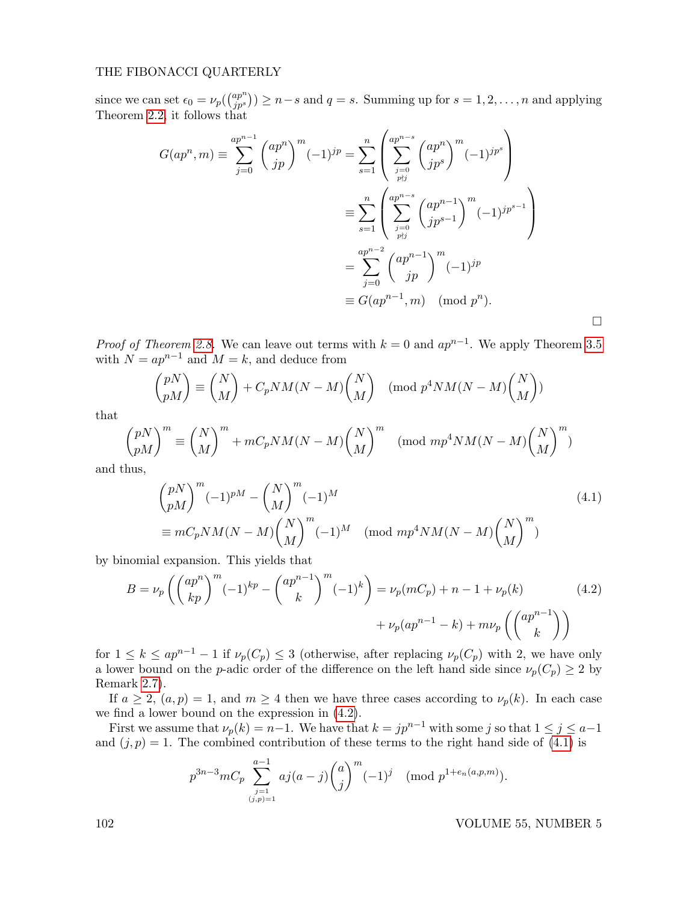since we can set  $\epsilon_0 = \nu_p \left( \frac{ap^n}{i p^s} \right)$  $\binom{ap^n}{jp^s}$   $\geq n-s$  and  $q=s$ . Summing up for  $s=1,2,\ldots,n$  and applying Theorem [2.2,](#page-1-1) it follows that

$$
G(ap^n, m) \equiv \sum_{j=0}^{ap^{n-1}} \binom{ap^n}{jp}^m (-1)^{jp} = \sum_{s=1}^n \left( \sum_{\substack{j=0 \ j\neq j}}^{ap^{n-s}} \binom{ap^n}{jp^s}^m (-1)^{jp^s} \right)
$$
  

$$
\equiv \sum_{s=1}^n \left( \sum_{\substack{j=0 \ j\neq j}}^{ap^{n-s}} \binom{ap^{n-1}}{jp^{s-1}}^m (-1)^{jp^{s-1}} \right)
$$
  

$$
= \sum_{j=0}^{ap^{n-2}} \binom{ap^{n-1}}{jp}^m (-1)^{jp}
$$
  

$$
\equiv G(ap^{n-1}, m) \pmod{p^n}.
$$

*Proof of Theorem [2.8.](#page-3-1)* We can leave out terms with  $k = 0$  and  $ap^{n-1}$ . We apply Theorem [3.5](#page-5-1) with  $N = ap^{n-1}$  and  $M = k$ , and deduce from

$$
\binom{pN}{pM} \equiv \binom{N}{M} + C_p NM(N-M) \binom{N}{M} \pmod{p^4 NM(N-M) \binom{N}{M}}
$$

that

$$
\binom{pN}{pM}^m \equiv \binom{N}{M}^m + mC_pNM(N-M)\binom{N}{M}^m \pmod{mp^4NM(N-M)\binom{N}{M}^m}
$$

and thus,

<span id="page-6-1"></span>
$$
\begin{aligned}\n\left(\begin{array}{c}\npN\\pM\end{array}\right)^m (-1)^{pM} - \left(\begin{array}{c}\nN\\M\end{array}\right)^m (-1)^M \\
\equiv mC_pNM(N-M)\binom{N}{M}^m (-1)^M \pmod{mp^4NM(N-M)\binom{N}{M}^m}\n\end{aligned} \tag{4.1}
$$

by binomial expansion. This yields that

$$
B = \nu_p \left( \binom{ap^n}{kp}^m (-1)^{kp} - \binom{ap^{n-1}}{k}^m (-1)^k \right) = \nu_p(mC_p) + n - 1 + \nu_p(k) \tag{4.2}
$$

$$
+ \nu_p(ap^{n-1} - k) + m\nu_p \left( \binom{ap^{n-1}}{k} \right)
$$

for  $1 \leq k \leq ap^{n-1}-1$  if  $\nu_p(C_p) \leq 3$  (otherwise, after replacing  $\nu_p(C_p)$  with 2, we have only a lower bound on the p-adic order of the difference on the left hand side since  $\nu_p(C_p) \geq 2$  by Remark [2.7\)](#page-2-2).

If  $a \geq 2$ ,  $(a, p) = 1$ , and  $m \geq 4$  then we have three cases according to  $\nu_p(k)$ . In each case we find a lower bound on the expression in [\(4.2\)](#page-6-0).

First we assume that  $\nu_p(k) = n-1$ . We have that  $k = pp^{n-1}$  with some j so that  $1 \leq j \leq a-1$ and  $(j, p) = 1$ . The combined contribution of these terms to the right hand side of [\(4.1\)](#page-6-1) is

<span id="page-6-0"></span>
$$
p^{3n-3}mC_p \sum_{\substack{j=1 \ (j,p)=1}}^{a-1} aj(a-j) {a \choose j}^m (-1)^j \pmod{p^{1+e_n(a,p,m)}}.
$$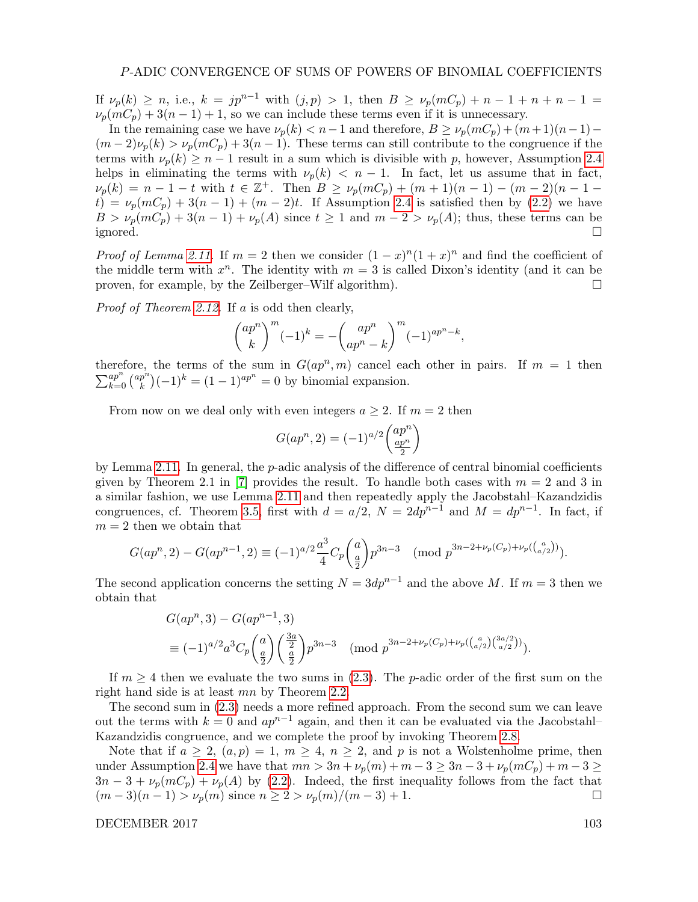If  $\nu_p(k) \ge n$ , i.e.,  $k = jp^{n-1}$  with  $(j, p) > 1$ , then  $B \ge \nu_p(mC_p) + n - 1 + n + n - 1 =$  $\nu_p(mC_p) + 3(n-1) + 1$ , so we can include these terms even if it is unnecessary.

In the remaining case we have  $\nu_p(k) < n-1$  and therefore,  $B \ge \nu_p(mC_p) + (m+1)(n-1) (m-2)\nu_p(k) > \nu_p(mC_p) + 3(n-1)$ . These terms can still contribute to the congruence if the terms with  $\nu_p(k) \geq n-1$  result in a sum which is divisible with p, however, Assumption [2.4](#page-2-1) helps in eliminating the terms with  $\nu_p(k) < n-1$ . In fact, let us assume that in fact,  $\nu_p(k) = n - 1 - t$  with  $t \in \mathbb{Z}^+$ . Then  $B \ge \nu_p(mC_p) + (m+1)(n-1) - (m-2)(n-1-1)$  $t) = \nu_p(mC_p) + 3(n-1) + (m-2)t$ . If Assumption [2.4](#page-2-1) is satisfied then by [\(2.2\)](#page-2-3) we have  $B > \nu_p(mC_p) + 3(n-1) + \nu_p(A)$  since  $t \ge 1$  and  $m-2 > \nu_p(A)$ ; thus, these terms can be ignored. □

*Proof of Lemma [2.11.](#page-3-3)* If  $m = 2$  then we consider  $(1-x)^n(1+x)^n$  and find the coefficient of the middle term with  $x^n$ . The identity with  $m = 3$  is called Dixon's identity (and it can be proven, for example, by the Zeilberger–Wilf algorithm).  $\Box$ 

Proof of Theorem [2.12.](#page-3-0) If a is odd then clearly,

$$
{\binom{ap^n}{k}}^m (-1)^k = -{\binom{ap^n}{ap^n - k}}^m (-1)^{ap^n - k},
$$

therefore, the terms of the sum in  $G(ap^n, m)$  cancel each other in pairs. If  $m = 1$  then  $\sum_{k=0}^{ap^n} \binom{ap^n}{k}$  $\binom{p^n}{k}(-1)^k = (1-1)^{ap^n} = 0$  by binomial expansion.

From now on we deal only with even integers  $a \geq 2$ . If  $m = 2$  then

$$
G(ap^n,2)=(-1)^{a/2}\binom{ap^n}{\frac{ap^n}{2}}
$$

by Lemma [2.11.](#page-3-3) In general, the p-adic analysis of the difference of central binomial coefficients given by Theorem 2.1 in [\[7\]](#page-8-9) provides the result. To handle both cases with  $m = 2$  and 3 in a similar fashion, we use Lemma [2.11](#page-3-3) and then repeatedly apply the Jacobstahl–Kazandzidis congruences, cf. Theorem [3.5,](#page-5-1) first with  $d = a/2$ ,  $N = 2dp^{n-1}$  and  $M = dp^{n-1}$ . In fact, if  $m = 2$  then we obtain that

$$
G(ap^n, 2) - G(ap^{n-1}, 2) \equiv (-1)^{a/2} \frac{a^3}{4} C_p \binom{a}{\frac{a}{2}} p^{3n-3} \pmod{p^{3n-2+\nu_p(C_p)+\nu_p(\binom{a}{a/2})}}.
$$

The second application concerns the setting  $N = 3dp^{n-1}$  and the above M. If  $m = 3$  then we obtain that

$$
G(ap^n,3) - G(ap^{n-1},3)
$$
  
\n
$$
\equiv (-1)^{a/2} a^3 C_p \binom{a}{\frac{a}{2}} \binom{\frac{3a}{2}}{\frac{a}{2}} p^{3n-3} \pmod{p^{3n-2+\nu_p(C_p)+\nu_p(\binom{a}{a/2})(\binom{3a/2}{a/2})}}.
$$

If  $m \geq 4$  then we evaluate the two sums in [\(2.3\)](#page-3-2). The p-adic order of the first sum on the right hand side is at least mn by Theorem [2.2.](#page-1-1)

The second sum in [\(2.3\)](#page-3-2) needs a more refined approach. From the second sum we can leave out the terms with  $k = 0$  and  $ap^{n-1}$  again, and then it can be evaluated via the Jacobstahl– Kazandzidis congruence, and we complete the proof by invoking Theorem [2.8.](#page-3-1)

Note that if  $a \geq 2$ ,  $(a, p) = 1$ ,  $m \geq 4$ ,  $n \geq 2$ , and p is not a Wolstenholme prime, then under Assumption [2.4](#page-2-1) we have that  $mn > 3n + \nu_p(m) + m - 3 \ge 3n - 3 + \nu_p(mC_p) + m - 3 \ge$  $3n-3+\nu_p(mC_p)+\nu_p(A)$  by [\(2.2\)](#page-2-3). Indeed, the first inequality follows from the fact that  $(m-3)(n-1) > \nu_p(m)$  since  $n \geq 2 > \nu_p(m)/(m-3) + 1$ .